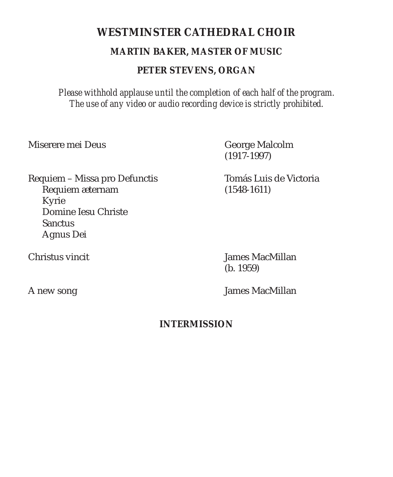# **WESTMINSTER CATHEDRAL CHOIR MARTIN BAKER, MASTER OF MUSIC PETER STEVENS, ORGAN**

*Please withhold applause until the completion of each half of the program. The use of any video or audio recording device is strictly prohibited.*

Miserere mei Deus George Malcolm

(1917-1997)

Requiem – Missa pro Defunctis Tomás Luis de Victoria Requiem æternam (1548-1611) Kyrie Domine Iesu Christe **Sanctus** Agnus Dei

Christus vincit James MacMillan (b. 1959)

A new song James MacMillan

# **INTERMISSION**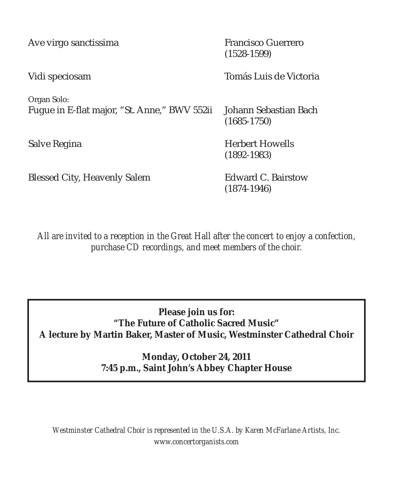| Ave virgo sanctissima                                       | <b>Francisco Guerrero</b><br>$(1528 - 1599)$ |
|-------------------------------------------------------------|----------------------------------------------|
| Vidi speciosam                                              | Tomás Luis de Victoria                       |
| Organ Solo:<br>Fugue in E-flat major, "St. Anne," BWV 552ii | Johann Sebastian Bach<br>$(1685 - 1750)$     |
| Salve Regina                                                | <b>Herbert Howells</b><br>$(1892 - 1983)$    |
| <b>Blessed City, Heavenly Salem</b>                         | <b>Edward C. Bairstow</b><br>$(1874 - 1946)$ |

*All are invited to a reception in the Great Hall after the concert to enjoy a confection, purchase CD recordings, and meet members of the choir.*

**Please join us for: "The Future of Catholic Sacred Music" A lecture by Martin Baker, Master of Music, Westminster Cathedral Choir** 

> **Monday, October 24, 2011 7:45 p.m., Saint John's Abbey Chapter House**

*Westminster Cathedral Choir is represented in the U.S.A. by Karen McFarlane Artists, Inc. www.concertorganists.com*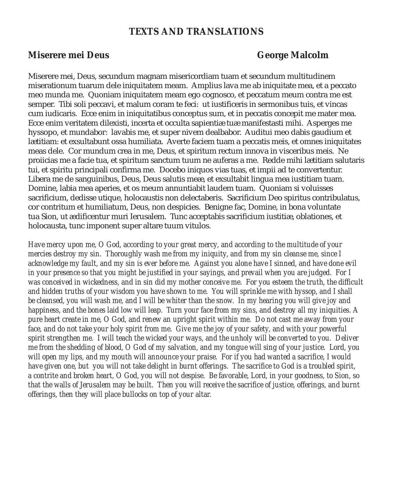# **TEXTS AND TRANSLATIONS**

### **Miserere mei Deus** George Malcolm

Miserere mei, Deus, secundum magnam misericordiam tuam et secundum multitudinem miserationum tuarum dele iniquitatem meam. Amplius lava me ab iniquitate mea, et a peccato meo munda me. Quoniam iniquitatem meam ego cognosco, et peccatum meum contra me est semper. Tibi soli peccavi, et malum coram te feci: ut iustificeris in sermonibus tuis, et vincas cum iudicaris. Ecce enim in iniquitatibus conceptus sum, et in peccatis concepit me mater mea. Ecce enim veritatem dilexisti, incerta et occulta sapientiæ tuæ manifestasti mihi. Asperges me hyssopo, et mundabor: lavabis me, et super nivem dealbabor. Auditui meo dabis gaudium et lætitiam: et exsultabunt ossa humiliata. Averte faciem tuam a peccatis meis, et omnes iniquitates meas dele. Cor mundum crea in me, Deus, et spiritum rectum innova in visceribus meis. Ne proiicias me a facie tua, et spiritum sanctum tuum ne auferas a me. Redde mihi lætitiam salutaris tui, et spiritu principali confirma me. Docebo iniquos vias tuas, et impii ad te convertentur. Libera me de sanguinibus, Deus, Deus salutis meæ, et exsultabit lingua mea iustitiam tuam. Domine, labia mea aperies, et os meum annuntiabit laudem tuam. Quoniam si voluisses sacrificium, dedisse utique, holocaustis non delectaberis. Sacrificium Deo spiritus contribulatus, cor contritum et humiliatum, Deus, non despicies. Benigne fac, Domine, in bona voluntate tua Sion, ut ædificentur muri Ierusalem. Tunc acceptabis sacrificium iustitiæ, oblationes, et holocausta, tunc imponent super altare tuum vitulos.

*Have mercy upon me, O God, according to your great mercy, and according to the multitude of your mercies destroy my sin. Thoroughly wash me from my iniquity, and from my sin cleanse me, since I acknowledge my fault, and my sin is ever before me. Against you alone have I sinned, and have done evil in your presence so that you might be justified in your sayings, and prevail when you are judged. For I was conceived in wickedness, and in sin did my mother conceive me. For you esteem the truth, the difficult*  and hidden truths of your wisdom you have shown to me. You will sprinkle me with hyssop, and I shall *be cleansed, you will wash me, and I will be whiter than the snow. In my hearing you will give joy and happiness, and the bones laid low will leap. Turn your face from my sins, and destroy all my iniquities. A pure heart create in me, O God, and renew an upright spirit within me. Do not cast me away from your*  face, and do not take your holy spirit from me. Give me the joy of your safety, and with your powerful *spirit strengthen me. I will teach the wicked your ways, and the unholy will be converted to you. Deliver me from the shedding of blood, O God of my salvation, and my tongue will sing of your justice. Lord, you will open my lips, and my mouth will announce your praise. For if you had wanted a sacrifice, I would*  have given one, but you will not take delight in burnt offerings. The sacrifice to God is a troubled spirit, *a contrite and broken heart, O God, you will not despise. Be favorable, Lord, in your goodness, to Sion, so that the walls of Jerusalem may be built. Then you will receive the sacrifice of justice, offerings, and burnt offerings, then they will place bullocks on top of your altar.*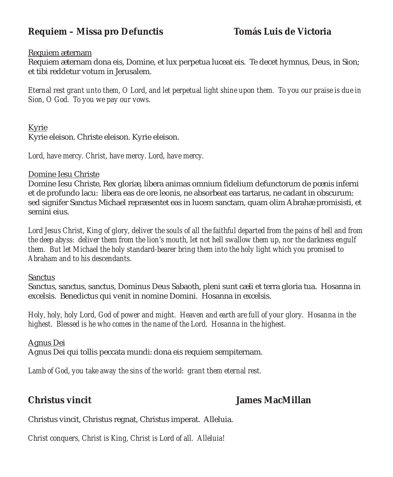# **Requiem – Missa pro Defunctis Tomás Luis de Victoria**

### Requiem æternam

Requiem æternam dona eis, Domine, et lux perpetua luceat eis. Te decet hymnus, Deus, in Sion; et tibi reddetur votum in Jerusalem.

*Eternal rest grant unto them, O Lord, and let perpetual light shine upon them. To you our praise is due in Sion, O God. To you we pay our vows.*

Kyrie

Kyrie eleison. Christe eleison. Kyrie eleison.

*Lord, have mercy. Christ, have mercy. Lord, have mercy.*

### Domine Iesu Christe

Domine Iesu Christe, Rex gloriæ, libera animas omnium fidelium defunctorum de pœnis inferni et de profundo lacu: libera eas de ore leonis, ne absorbeat eas tartarus, ne cadant in obscurum: sed signifer Sanctus Michael repræsentet eas in lucem sanctam, quam olim Abrahæ promisisti, et semini eius.

Lord Jesus Christ, King of glory, deliver the souls of all the faithful departed from the pains of hell and from *the deep abyss: deliver them from the lion's mouth, let not hell swallow them up, nor the darkness engulf them. But let Michael the holy standard-bearer bring them into the holy light which you promised to Abraham and to his descendants.*

### Sanctus

Sanctus, sanctus, sanctus, Dominus Deus Sabaoth, pleni sunt cæli et terra gloria tua. Hosanna in excelsis. Benedictus qui venit in nomine Domini. Hosanna in excelsis.

*Holy, holy, holy Lord, God of power and might. Heaven and earth are full of your glory. Hosanna in the highest. Blessed is he who comes in the name of the Lord. Hosanna in the highest.*

Agnus Dei Agnus Dei qui tollis peccata mundi: dona eis requiem sempiternam.

*Lamb of God, you take away the sins of the world: grant them eternal rest.*

# **Christus vincit James MacMillan**

Christus vincit, Christus regnat, Christus imperat. Alleluia.

*Christ conquers, Christ is King, Christ is Lord of all. Alleluia!*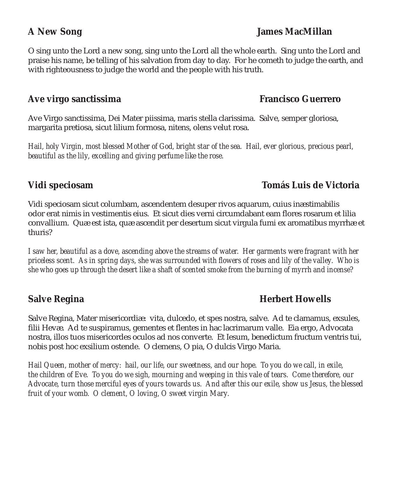O sing unto the Lord a new song, sing unto the Lord all the whole earth. Sing unto the Lord and praise his name, be telling of his salvation from day to day. For he cometh to judge the earth, and with righteousness to judge the world and the people with his truth.

# **Ave virgo sanctissima Francisco Guerrero**

Ave Virgo sanctissima, Dei Mater piissima, maris stella clarissima. Salve, semper gloriosa, margarita pretiosa, sicut lilium formosa, nitens, olens velut rosa.

*Hail, holy Virgin, most blessed Mother of God, bright star of the sea. Hail, ever glorious, precious pearl, beautiful as the lily, excelling and giving perfume like the rose.*

# **Vidi speciosam Tomás Luis de Victoria**

### Vidi speciosam sicut columbam, ascendentem desuper rivos aquarum, cuius inæstimabilis odor erat nimis in vestimentis eius. Et sicut dies verni circumdabant eam flores rosarum et lilia convallium. Quæ est ista, quæ ascendit per desertum sicut virgula fumi ex aromatibus myrrhæ et thuris?

*I saw her, beautiful as a dove, ascending above the streams of water. Her garments were fragrant with her priceless scent. As in spring days, she was surrounded with flowers of roses and lily of the valley. Who is she who goes up through the desert like a shaft of scented smoke from the burning of myrrh and incense?*

# **Salve Regina Herbert Howells**

Salve Regina, Mater misericordiæ: vita, dulcedo, et spes nostra, salve. Ad te clamamus, exsules, filii Hevæ. Ad te suspiramus, gementes et flentes in hac lacrimarum valle. Eia ergo, Advocata nostra, illos tuos misericordes oculos ad nos converte. Et Iesum, benedictum fructum ventris tui, nobis post hoc exsilium ostende. O clemens, O pia, O dulcis Virgo Maria.

*Hail Queen, mother of mercy: hail, our life, our sweetness, and our hope. To you do we call, in exile, the children of Eve. To you do we sigh, mourning and weeping in this vale of tears. Come therefore, our Advocate, turn those merciful eyes of yours towards us. And after this our exile, show us Jesus, the blessed fruit of your womb. O clement, O loving, O sweet virgin Mary.*

# **A New Song James MacMillan**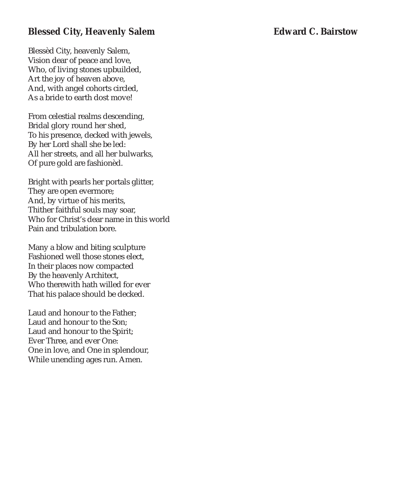# **Blessed City, Heavenly Salem Edward C. Bairstow**

Blessèd City, heavenly Salem, Vision dear of peace and love, Who, of living stones upbuilded, Art the joy of heaven above, And, with angel cohorts circled, As a bride to earth dost move!

From celestial realms descending, Bridal glory round her shed, To his presence, decked with jewels, By her Lord shall she be led: All her streets, and all her bulwarks, Of pure gold are fashionèd.

Bright with pearls her portals glitter, They are open evermore; And, by virtue of his merits, Thither faithful souls may soar, Who for Christ's dear name in this world Pain and tribulation bore.

Many a blow and biting sculpture Fashioned well those stones elect, In their places now compacted By the heavenly Architect, Who therewith hath willed for ever That his palace should be decked.

Laud and honour to the Father; Laud and honour to the Son; Laud and honour to the Spirit; Ever Three, and ever One: One in love, and One in splendour, While unending ages run. Amen.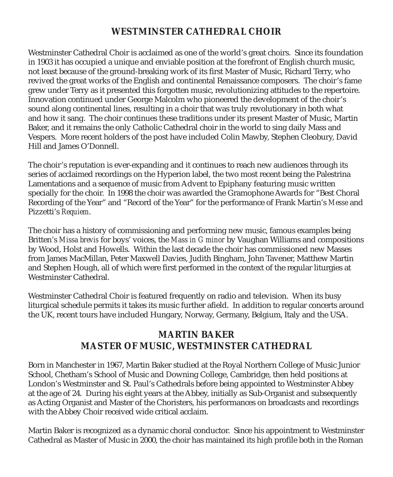# **WESTMINSTER CATHEDRAL CHOIR**

Westminster Cathedral Choir is acclaimed as one of the world's great choirs. Since its foundation in 1903 it has occupied a unique and enviable position at the forefront of English church music, not least because of the ground-breaking work of its first Master of Music, Richard Terry, who revived the great works of the English and continental Renaissance composers. The choir's fame grew under Terry as it presented this forgotten music, revolutionizing attitudes to the repertoire. Innovation continued under George Malcolm who pioneered the development of the choir's sound along continental lines, resulting in a choir that was truly revolutionary in both what and how it sang. The choir continues these traditions under its present Master of Music, Martin Baker, and it remains the only Catholic Cathedral choir in the world to sing daily Mass and Vespers. More recent holders of the post have included Colin Mawby, Stephen Cleobury, David Hill and James O'Donnell.

The choir's reputation is ever-expanding and it continues to reach new audiences through its series of acclaimed recordings on the Hyperion label, the two most recent being the Palestrina Lamentations and a sequence of music from Advent to Epiphany featuring music written specially for the choir. In 1998 the choir was awarded the Gramophone Awards for "Best Choral Recording of the Year" and "Record of the Year" for the performance of Frank Martin's *Messe* and Pizzetti's *Requiem*.

The choir has a history of commissioning and performing new music, famous examples being Britten's *Missa brevis* for boys' voices, the *Mass in G minor* by Vaughan Williams and compositions by Wood, Holst and Howells. Within the last decade the choir has commissioned new Masses from James MacMillan, Peter Maxwell Davies, Judith Bingham, John Tavener, Matthew Martin and Stephen Hough, all of which were first performed in the context of the regular liturgies at Westminster Cathedral.

Westminster Cathedral Choir is featured frequently on radio and television. When its busy liturgical schedule permits it takes its music further afield. In addition to regular concerts around the UK, recent tours have included Hungary, Norway, Germany, Belgium, Italy and the USA.

# **MARTIN BAKER MASTER OF MUSIC, WESTMINSTER CATHEDRAL**

Born in Manchester in 1967, Martin Baker studied at the Royal Northern College of Music Junior School, Chetham's School of Music and Downing College, Cambridge, then held positions at London's Westminster and St. Paul's Cathedrals before being appointed to Westminster Abbey at the age of 24. During his eight years at the Abbey, initially as Sub-Organist and subsequently as Acting Organist and Master of the Choristers, his performances on broadcasts and recordings with the Abbey Choir received wide critical acclaim.

Martin Baker is recognized as a dynamic choral conductor. Since his appointment to Westminster Cathedral as Master of Music in 2000, the choir has maintained its high profile both in the Roman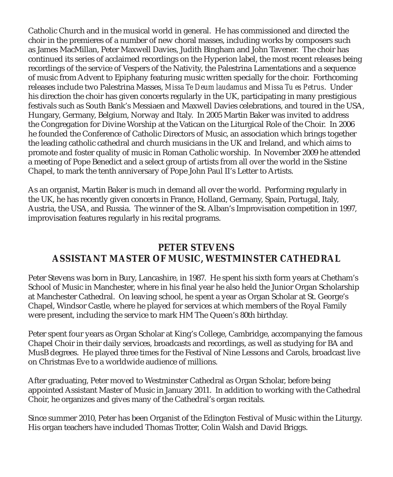Catholic Church and in the musical world in general. He has commissioned and directed the choir in the premieres of a number of new choral masses, including works by composers such as James MacMillan, Peter Maxwell Davies, Judith Bingham and John Tavener. The choir has continued its series of acclaimed recordings on the Hyperion label, the most recent releases being recordings of the service of Vespers of the Nativity, the Palestrina Lamentations and a sequence of music from Advent to Epiphany featuring music written specially for the choir. Forthcoming releases include two Palestrina Masses, *Missa Te Deum laudamus* and *Missa Tu es Petrus*. Under his direction the choir has given concerts regularly in the UK, participating in many prestigious festivals such as South Bank's Messiaen and Maxwell Davies celebrations, and toured in the USA, Hungary, Germany, Belgium, Norway and Italy. In 2005 Martin Baker was invited to address the Congregation for Divine Worship at the Vatican on the Liturgical Role of the Choir. In 2006 he founded the Conference of Catholic Directors of Music, an association which brings together the leading catholic cathedral and church musicians in the UK and Ireland, and which aims to promote and foster quality of music in Roman Catholic worship. In November 2009 he attended a meeting of Pope Benedict and a select group of artists from all over the world in the Sistine Chapel, to mark the tenth anniversary of Pope John Paul II's Letter to Artists.

As an organist, Martin Baker is much in demand all over the world. Performing regularly in the UK, he has recently given concerts in France, Holland, Germany, Spain, Portugal, Italy, Austria, the USA, and Russia. The winner of the St. Alban's Improvisation competition in 1997, improvisation features regularly in his recital programs.

# **PETER STEVENS ASSISTANT MASTER OF MUSIC, WESTMINSTER CATHEDRAL**

Peter Stevens was born in Bury, Lancashire, in 1987. He spent his sixth form years at Chetham's School of Music in Manchester, where in his final year he also held the Junior Organ Scholarship at Manchester Cathedral. On leaving school, he spent a year as Organ Scholar at St. George's Chapel, Windsor Castle, where he played for services at which members of the Royal Family were present, including the service to mark HM The Queen's 80th birthday.

Peter spent four years as Organ Scholar at King's College, Cambridge, accompanying the famous Chapel Choir in their daily services, broadcasts and recordings, as well as studying for BA and MusB degrees. He played three times for the Festival of Nine Lessons and Carols, broadcast live on Christmas Eve to a worldwide audience of millions.

After graduating, Peter moved to Westminster Cathedral as Organ Scholar, before being appointed Assistant Master of Music in January 2011. In addition to working with the Cathedral Choir, he organizes and gives many of the Cathedral's organ recitals.

Since summer 2010, Peter has been Organist of the Edington Festival of Music within the Liturgy. His organ teachers have included Thomas Trotter, Colin Walsh and David Briggs.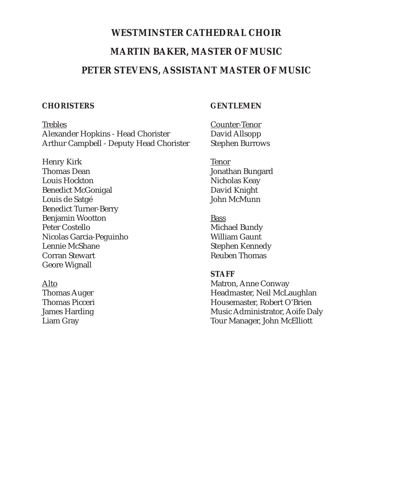# **WESTMINSTER CATHEDRAL CHOIR MARTIN BAKER, MASTER OF MUSIC PETER STEVENS, ASSISTANT MASTER OF MUSIC**

### **CHORISTERS**

### **GENTLEMEN**

**Trebles** Alexander Hopkins - Head Chorister Arthur Campbell - Deputy Head Chorister

Henry Kirk Thomas Dean Louis Hockton Benedict McGonigal Louis de Satgé Benedict Turner-Berry Benjamin Wootton Peter Costello Nicolas Garcia-Peguinho Lennie McShane Corran Stewart Geore Wignall

Alto Thomas Auger Thomas Picceri James Harding Liam Gray

Counter-Tenor David Allsopp Stephen Burrows

Tenor Jonathan Bungard Nicholas Keay David Knight John McMunn

Bass Michael Bundy William Gaunt Stephen Kennedy Reuben Thomas

### **STAFF**

Matron, Anne Conway Headmaster, Neil McLaughlan Housemaster, Robert O'Brien Music Administrator, Aoife Daly Tour Manager, John McElliott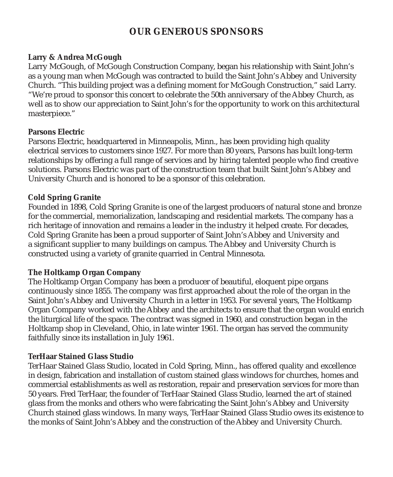# **OUR GENEROUS SPONSORS**

### **Larry & Andrea McGough**

Larry McGough, of McGough Construction Company, began his relationship with Saint John's as a young man when McGough was contracted to build the Saint John's Abbey and University Church. "This building project was a defining moment for McGough Construction," said Larry. "We're proud to sponsor this concert to celebrate the 50th anniversary of the Abbey Church, as well as to show our appreciation to Saint John's for the opportunity to work on this architectural masterpiece."

### **Parsons Electric**

Parsons Electric, headquartered in Minneapolis, Minn., has been providing high quality electrical services to customers since 1927. For more than 80 years, Parsons has built long-term relationships by offering a full range of services and by hiring talented people who find creative solutions. Parsons Electric was part of the construction team that built Saint John's Abbey and University Church and is honored to be a sponsor of this celebration.

### **Cold Spring Granite**

Founded in 1898, Cold Spring Granite is one of the largest producers of natural stone and bronze for the commercial, memorialization, landscaping and residential markets. The company has a rich heritage of innovation and remains a leader in the industry it helped create. For decades, Cold Spring Granite has been a proud supporter of Saint John's Abbey and University and a significant supplier to many buildings on campus. The Abbey and University Church is constructed using a variety of granite quarried in Central Minnesota.

### **The Holtkamp Organ Company**

The Holtkamp Organ Company has been a producer of beautiful, eloquent pipe organs continuously since 1855. The company was first approached about the role of the organ in the Saint John's Abbey and University Church in a letter in 1953. For several years, The Holtkamp Organ Company worked with the Abbey and the architects to ensure that the organ would enrich the liturgical life of the space. The contract was signed in 1960, and construction began in the Holtkamp shop in Cleveland, Ohio, in late winter 1961. The organ has served the community faithfully since its installation in July 1961.

### **TerHaar Stained Glass Studio**

TerHaar Stained Glass Studio, located in Cold Spring, Minn., has offered quality and excellence in design, fabrication and installation of custom stained glass windows for churches, homes and commercial establishments as well as restoration, repair and preservation services for more than 50 years. Fred TerHaar, the founder of TerHaar Stained Glass Studio, learned the art of stained glass from the monks and others who were fabricating the Saint John's Abbey and University Church stained glass windows. In many ways, TerHaar Stained Glass Studio owes its existence to the monks of Saint John's Abbey and the construction of the Abbey and University Church.